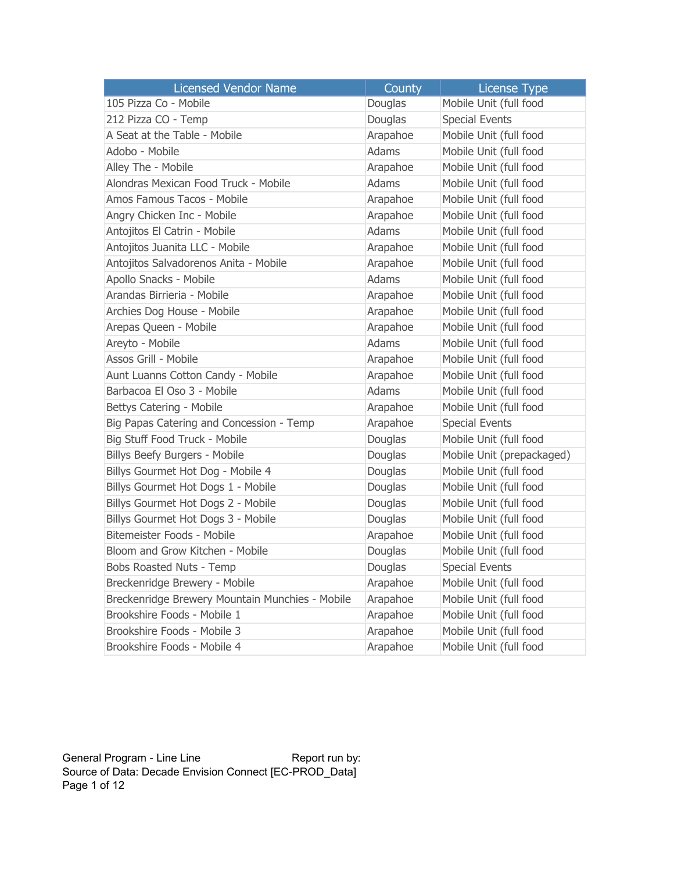| <b>Licensed Vendor Name</b>                     | County   | <b>License Type</b>       |
|-------------------------------------------------|----------|---------------------------|
| 105 Pizza Co - Mobile                           | Douglas  | Mobile Unit (full food    |
| 212 Pizza CO - Temp                             | Douglas  | <b>Special Events</b>     |
| A Seat at the Table - Mobile                    | Arapahoe | Mobile Unit (full food    |
| Adobo - Mobile                                  | Adams    | Mobile Unit (full food    |
| Alley The - Mobile                              | Arapahoe | Mobile Unit (full food    |
| Alondras Mexican Food Truck - Mobile            | Adams    | Mobile Unit (full food    |
| Amos Famous Tacos - Mobile                      | Arapahoe | Mobile Unit (full food    |
| Angry Chicken Inc - Mobile                      | Arapahoe | Mobile Unit (full food    |
| Antojitos El Catrin - Mobile                    | Adams    | Mobile Unit (full food    |
| Antojitos Juanita LLC - Mobile                  | Arapahoe | Mobile Unit (full food    |
| Antojitos Salvadorenos Anita - Mobile           | Arapahoe | Mobile Unit (full food    |
| Apollo Snacks - Mobile                          | Adams    | Mobile Unit (full food    |
| Arandas Birrieria - Mobile                      | Arapahoe | Mobile Unit (full food    |
| Archies Dog House - Mobile                      | Arapahoe | Mobile Unit (full food    |
| Arepas Queen - Mobile                           | Arapahoe | Mobile Unit (full food    |
| Areyto - Mobile                                 | Adams    | Mobile Unit (full food    |
| Assos Grill - Mobile                            | Arapahoe | Mobile Unit (full food    |
| Aunt Luanns Cotton Candy - Mobile               | Arapahoe | Mobile Unit (full food    |
| Barbacoa El Oso 3 - Mobile                      | Adams    | Mobile Unit (full food    |
| Bettys Catering - Mobile                        | Arapahoe | Mobile Unit (full food    |
| Big Papas Catering and Concession - Temp        | Arapahoe | <b>Special Events</b>     |
| Big Stuff Food Truck - Mobile                   | Douglas  | Mobile Unit (full food    |
| Billys Beefy Burgers - Mobile                   | Douglas  | Mobile Unit (prepackaged) |
| Billys Gourmet Hot Dog - Mobile 4               | Douglas  | Mobile Unit (full food    |
| Billys Gourmet Hot Dogs 1 - Mobile              | Douglas  | Mobile Unit (full food    |
| Billys Gourmet Hot Dogs 2 - Mobile              | Douglas  | Mobile Unit (full food    |
| Billys Gourmet Hot Dogs 3 - Mobile              | Douglas  | Mobile Unit (full food    |
| Bitemeister Foods - Mobile                      | Arapahoe | Mobile Unit (full food    |
| Bloom and Grow Kitchen - Mobile                 | Douglas  | Mobile Unit (full food    |
| Bobs Roasted Nuts - Temp                        | Douglas  | <b>Special Events</b>     |
| Breckenridge Brewery - Mobile                   | Arapahoe | Mobile Unit (full food    |
| Breckenridge Brewery Mountain Munchies - Mobile | Arapahoe | Mobile Unit (full food    |
| Brookshire Foods - Mobile 1                     | Arapahoe | Mobile Unit (full food    |
| Brookshire Foods - Mobile 3                     | Arapahoe | Mobile Unit (full food    |
| Brookshire Foods - Mobile 4                     | Arapahoe | Mobile Unit (full food    |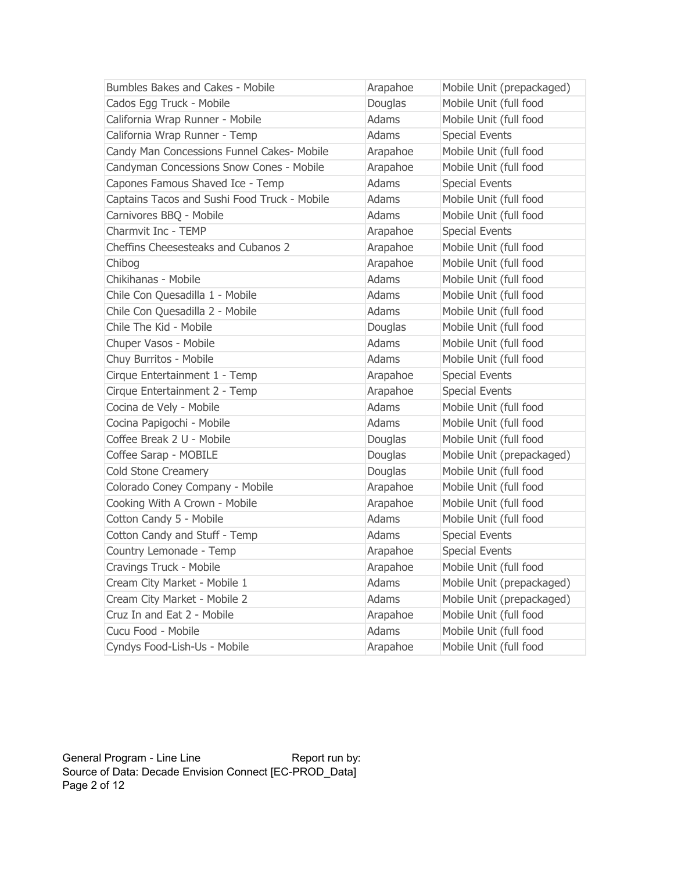| <b>Bumbles Bakes and Cakes - Mobile</b>      | Arapahoe     | Mobile Unit (prepackaged) |
|----------------------------------------------|--------------|---------------------------|
| Cados Egg Truck - Mobile                     | Douglas      | Mobile Unit (full food    |
| California Wrap Runner - Mobile              | <b>Adams</b> | Mobile Unit (full food    |
| California Wrap Runner - Temp                | <b>Adams</b> | <b>Special Events</b>     |
| Candy Man Concessions Funnel Cakes- Mobile   | Arapahoe     | Mobile Unit (full food    |
| Candyman Concessions Snow Cones - Mobile     | Arapahoe     | Mobile Unit (full food    |
| Capones Famous Shaved Ice - Temp             | <b>Adams</b> | <b>Special Events</b>     |
| Captains Tacos and Sushi Food Truck - Mobile | <b>Adams</b> | Mobile Unit (full food    |
| Carnivores BBQ - Mobile                      | <b>Adams</b> | Mobile Unit (full food    |
| Charmvit Inc - TEMP                          | Arapahoe     | <b>Special Events</b>     |
| Cheffins Cheesesteaks and Cubanos 2          | Arapahoe     | Mobile Unit (full food    |
| Chibog                                       | Arapahoe     | Mobile Unit (full food    |
| Chikihanas - Mobile                          | Adams        | Mobile Unit (full food    |
| Chile Con Quesadilla 1 - Mobile              | <b>Adams</b> | Mobile Unit (full food    |
| Chile Con Quesadilla 2 - Mobile              | <b>Adams</b> | Mobile Unit (full food    |
| Chile The Kid - Mobile                       | Douglas      | Mobile Unit (full food    |
| Chuper Vasos - Mobile                        | <b>Adams</b> | Mobile Unit (full food    |
| Chuy Burritos - Mobile                       | <b>Adams</b> | Mobile Unit (full food    |
| Cirque Entertainment 1 - Temp                | Arapahoe     | <b>Special Events</b>     |
| Cirque Entertainment 2 - Temp                | Arapahoe     | <b>Special Events</b>     |
| Cocina de Vely - Mobile                      | <b>Adams</b> | Mobile Unit (full food    |
| Cocina Papigochi - Mobile                    | <b>Adams</b> | Mobile Unit (full food    |
| Coffee Break 2 U - Mobile                    | Douglas      | Mobile Unit (full food    |
| Coffee Sarap - MOBILE                        | Douglas      | Mobile Unit (prepackaged) |
| <b>Cold Stone Creamery</b>                   | Douglas      | Mobile Unit (full food    |
| Colorado Coney Company - Mobile              | Arapahoe     | Mobile Unit (full food    |
| Cooking With A Crown - Mobile                | Arapahoe     | Mobile Unit (full food    |
| Cotton Candy 5 - Mobile                      | <b>Adams</b> | Mobile Unit (full food    |
| Cotton Candy and Stuff - Temp                | Adams        | <b>Special Events</b>     |
| Country Lemonade - Temp                      | Arapahoe     | <b>Special Events</b>     |
| Cravings Truck - Mobile                      | Arapahoe     | Mobile Unit (full food    |
| Cream City Market - Mobile 1                 | <b>Adams</b> | Mobile Unit (prepackaged) |
| Cream City Market - Mobile 2                 | <b>Adams</b> | Mobile Unit (prepackaged) |
| Cruz In and Eat 2 - Mobile                   | Arapahoe     | Mobile Unit (full food    |
| Cucu Food - Mobile                           | <b>Adams</b> | Mobile Unit (full food    |
| Cyndys Food-Lish-Us - Mobile                 | Arapahoe     | Mobile Unit (full food    |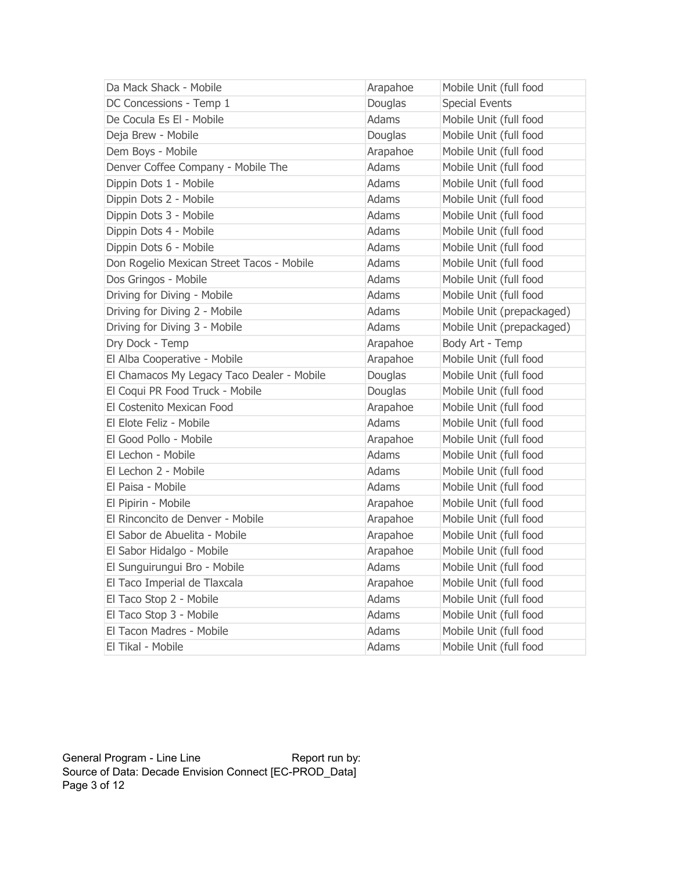| Da Mack Shack - Mobile                     | Arapahoe     | Mobile Unit (full food    |
|--------------------------------------------|--------------|---------------------------|
| DC Concessions - Temp 1                    | Douglas      | <b>Special Events</b>     |
| De Cocula Es El - Mobile                   | <b>Adams</b> | Mobile Unit (full food    |
| Deja Brew - Mobile                         | Douglas      | Mobile Unit (full food    |
| Dem Boys - Mobile                          | Arapahoe     | Mobile Unit (full food    |
| Denver Coffee Company - Mobile The         | Adams        | Mobile Unit (full food    |
| Dippin Dots 1 - Mobile                     | <b>Adams</b> | Mobile Unit (full food    |
| Dippin Dots 2 - Mobile                     | <b>Adams</b> | Mobile Unit (full food    |
| Dippin Dots 3 - Mobile                     | Adams        | Mobile Unit (full food    |
| Dippin Dots 4 - Mobile                     | <b>Adams</b> | Mobile Unit (full food    |
| Dippin Dots 6 - Mobile                     | Adams        | Mobile Unit (full food    |
| Don Rogelio Mexican Street Tacos - Mobile  | Adams        | Mobile Unit (full food    |
| Dos Gringos - Mobile                       | Adams        | Mobile Unit (full food    |
| Driving for Diving - Mobile                | Adams        | Mobile Unit (full food    |
| Driving for Diving 2 - Mobile              | Adams        | Mobile Unit (prepackaged) |
| Driving for Diving 3 - Mobile              | Adams        | Mobile Unit (prepackaged) |
| Dry Dock - Temp                            | Arapahoe     | Body Art - Temp           |
| El Alba Cooperative - Mobile               | Arapahoe     | Mobile Unit (full food    |
| El Chamacos My Legacy Taco Dealer - Mobile | Douglas      | Mobile Unit (full food    |
| El Coqui PR Food Truck - Mobile            | Douglas      | Mobile Unit (full food    |
| El Costenito Mexican Food                  | Arapahoe     | Mobile Unit (full food    |
| El Elote Feliz - Mobile                    | Adams        | Mobile Unit (full food    |
| El Good Pollo - Mobile                     | Arapahoe     | Mobile Unit (full food    |
| El Lechon - Mobile                         | Adams        | Mobile Unit (full food    |
| El Lechon 2 - Mobile                       | Adams        | Mobile Unit (full food    |
| El Paisa - Mobile                          | Adams        | Mobile Unit (full food    |
| El Pipirin - Mobile                        | Arapahoe     | Mobile Unit (full food    |
| El Rinconcito de Denver - Mobile           | Arapahoe     | Mobile Unit (full food    |
| El Sabor de Abuelita - Mobile              | Arapahoe     | Mobile Unit (full food    |
| El Sabor Hidalgo - Mobile                  | Arapahoe     | Mobile Unit (full food    |
| El Sunguirungui Bro - Mobile               | Adams        | Mobile Unit (full food    |
| El Taco Imperial de Tlaxcala               | Arapahoe     | Mobile Unit (full food    |
| El Taco Stop 2 - Mobile                    | Adams        | Mobile Unit (full food    |
| El Taco Stop 3 - Mobile                    | Adams        | Mobile Unit (full food    |
| El Tacon Madres - Mobile                   | Adams        | Mobile Unit (full food    |
| El Tikal - Mobile                          | Adams        | Mobile Unit (full food    |

General Program - Line Line **Report run by:**  Source of Data: Decade Envision Connect [EC-PROD\_Data] Page 3 of 12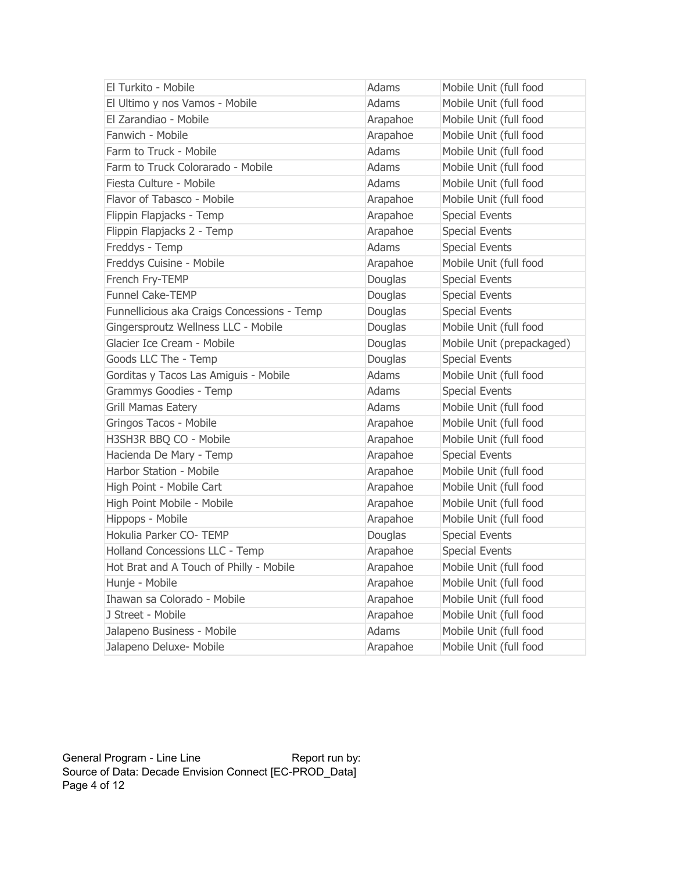| El Turkito - Mobile                         | Adams        | Mobile Unit (full food    |
|---------------------------------------------|--------------|---------------------------|
| El Ultimo y nos Vamos - Mobile              | Adams        | Mobile Unit (full food    |
| El Zarandiao - Mobile                       | Arapahoe     | Mobile Unit (full food    |
| Fanwich - Mobile                            | Arapahoe     | Mobile Unit (full food    |
| Farm to Truck - Mobile                      | Adams        | Mobile Unit (full food    |
| Farm to Truck Colorarado - Mobile           | Adams        | Mobile Unit (full food    |
| Fiesta Culture - Mobile                     | <b>Adams</b> | Mobile Unit (full food    |
| Flavor of Tabasco - Mobile                  | Arapahoe     | Mobile Unit (full food    |
| Flippin Flapjacks - Temp                    | Arapahoe     | <b>Special Events</b>     |
| Flippin Flapjacks 2 - Temp                  | Arapahoe     | <b>Special Events</b>     |
| Freddys - Temp                              | Adams        | <b>Special Events</b>     |
| Freddys Cuisine - Mobile                    | Arapahoe     | Mobile Unit (full food    |
| French Fry-TEMP                             | Douglas      | <b>Special Events</b>     |
| <b>Funnel Cake-TEMP</b>                     | Douglas      | <b>Special Events</b>     |
| Funnellicious aka Craigs Concessions - Temp | Douglas      | <b>Special Events</b>     |
| Gingersproutz Wellness LLC - Mobile         | Douglas      | Mobile Unit (full food    |
| Glacier Ice Cream - Mobile                  | Douglas      | Mobile Unit (prepackaged) |
| Goods LLC The - Temp                        | Douglas      | <b>Special Events</b>     |
| Gorditas y Tacos Las Amiguis - Mobile       | <b>Adams</b> | Mobile Unit (full food    |
| Grammys Goodies - Temp                      | Adams        | <b>Special Events</b>     |
| <b>Grill Mamas Eatery</b>                   | <b>Adams</b> | Mobile Unit (full food    |
| Gringos Tacos - Mobile                      | Arapahoe     | Mobile Unit (full food    |
| H3SH3R BBQ CO - Mobile                      | Arapahoe     | Mobile Unit (full food    |
| Hacienda De Mary - Temp                     | Arapahoe     | <b>Special Events</b>     |
| Harbor Station - Mobile                     | Arapahoe     | Mobile Unit (full food    |
| High Point - Mobile Cart                    | Arapahoe     | Mobile Unit (full food    |
| High Point Mobile - Mobile                  | Arapahoe     | Mobile Unit (full food    |
| Hippops - Mobile                            | Arapahoe     | Mobile Unit (full food    |
| Hokulia Parker CO- TEMP                     | Douglas      | <b>Special Events</b>     |
| Holland Concessions LLC - Temp              | Arapahoe     | <b>Special Events</b>     |
| Hot Brat and A Touch of Philly - Mobile     | Arapahoe     | Mobile Unit (full food    |
| Hunje - Mobile                              | Arapahoe     | Mobile Unit (full food    |
| Ihawan sa Colorado - Mobile                 | Arapahoe     | Mobile Unit (full food    |
| J Street - Mobile                           | Arapahoe     | Mobile Unit (full food    |
| Jalapeno Business - Mobile                  | Adams        | Mobile Unit (full food    |
| Jalapeno Deluxe- Mobile                     | Arapahoe     | Mobile Unit (full food    |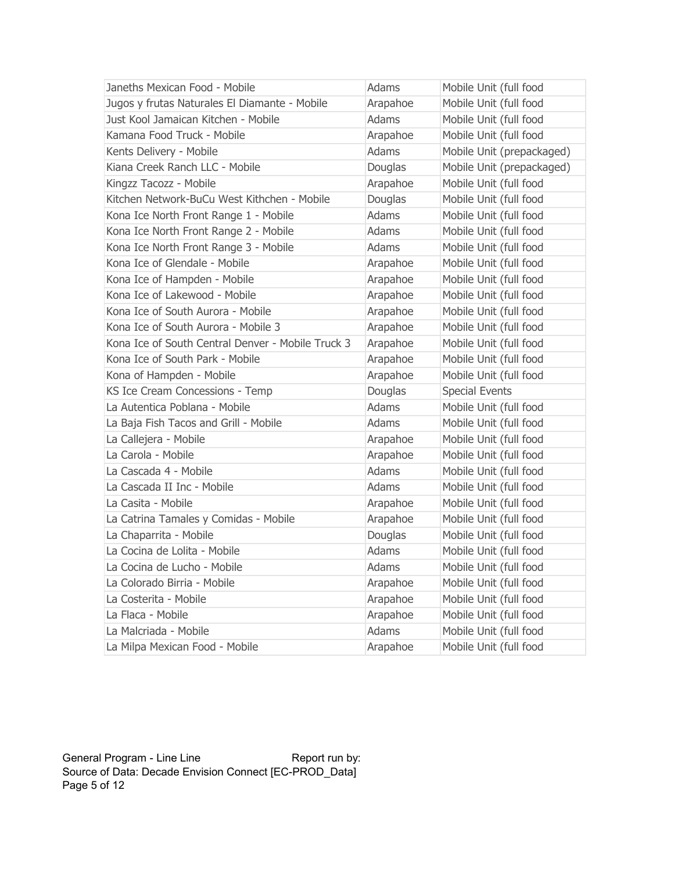| Janeths Mexican Food - Mobile                     | Adams        | Mobile Unit (full food    |
|---------------------------------------------------|--------------|---------------------------|
| Jugos y frutas Naturales El Diamante - Mobile     | Arapahoe     | Mobile Unit (full food    |
| Just Kool Jamaican Kitchen - Mobile               | Adams        | Mobile Unit (full food    |
| Kamana Food Truck - Mobile                        | Arapahoe     | Mobile Unit (full food    |
| Kents Delivery - Mobile                           | Adams        | Mobile Unit (prepackaged) |
| Kiana Creek Ranch LLC - Mobile                    | Douglas      | Mobile Unit (prepackaged) |
| Kingzz Tacozz - Mobile                            | Arapahoe     | Mobile Unit (full food    |
| Kitchen Network-BuCu West Kithchen - Mobile       | Douglas      | Mobile Unit (full food    |
| Kona Ice North Front Range 1 - Mobile             | Adams        | Mobile Unit (full food    |
| Kona Ice North Front Range 2 - Mobile             | <b>Adams</b> | Mobile Unit (full food    |
| Kona Ice North Front Range 3 - Mobile             | Adams        | Mobile Unit (full food    |
| Kona Ice of Glendale - Mobile                     | Arapahoe     | Mobile Unit (full food    |
| Kona Ice of Hampden - Mobile                      | Arapahoe     | Mobile Unit (full food    |
| Kona Ice of Lakewood - Mobile                     | Arapahoe     | Mobile Unit (full food    |
| Kona Ice of South Aurora - Mobile                 | Arapahoe     | Mobile Unit (full food    |
| Kona Ice of South Aurora - Mobile 3               | Arapahoe     | Mobile Unit (full food    |
| Kona Ice of South Central Denver - Mobile Truck 3 | Arapahoe     | Mobile Unit (full food    |
| Kona Ice of South Park - Mobile                   | Arapahoe     | Mobile Unit (full food    |
| Kona of Hampden - Mobile                          | Arapahoe     | Mobile Unit (full food    |
| KS Ice Cream Concessions - Temp                   | Douglas      | <b>Special Events</b>     |
| La Autentica Poblana - Mobile                     | <b>Adams</b> | Mobile Unit (full food    |
| La Baja Fish Tacos and Grill - Mobile             | Adams        | Mobile Unit (full food    |
| La Callejera - Mobile                             | Arapahoe     | Mobile Unit (full food    |
| La Carola - Mobile                                | Arapahoe     | Mobile Unit (full food    |
| La Cascada 4 - Mobile                             | Adams        | Mobile Unit (full food    |
| La Cascada II Inc - Mobile                        | Adams        | Mobile Unit (full food    |
| La Casita - Mobile                                | Arapahoe     | Mobile Unit (full food    |
| La Catrina Tamales y Comidas - Mobile             | Arapahoe     | Mobile Unit (full food    |
| La Chaparrita - Mobile                            | Douglas      | Mobile Unit (full food    |
| La Cocina de Lolita - Mobile                      | Adams        | Mobile Unit (full food    |
| La Cocina de Lucho - Mobile                       | Adams        | Mobile Unit (full food    |
| La Colorado Birria - Mobile                       | Arapahoe     | Mobile Unit (full food    |
| La Costerita - Mobile                             | Arapahoe     | Mobile Unit (full food    |
| La Flaca - Mobile                                 | Arapahoe     | Mobile Unit (full food    |
| La Malcriada - Mobile                             | Adams        | Mobile Unit (full food    |
| La Milpa Mexican Food - Mobile                    | Arapahoe     | Mobile Unit (full food    |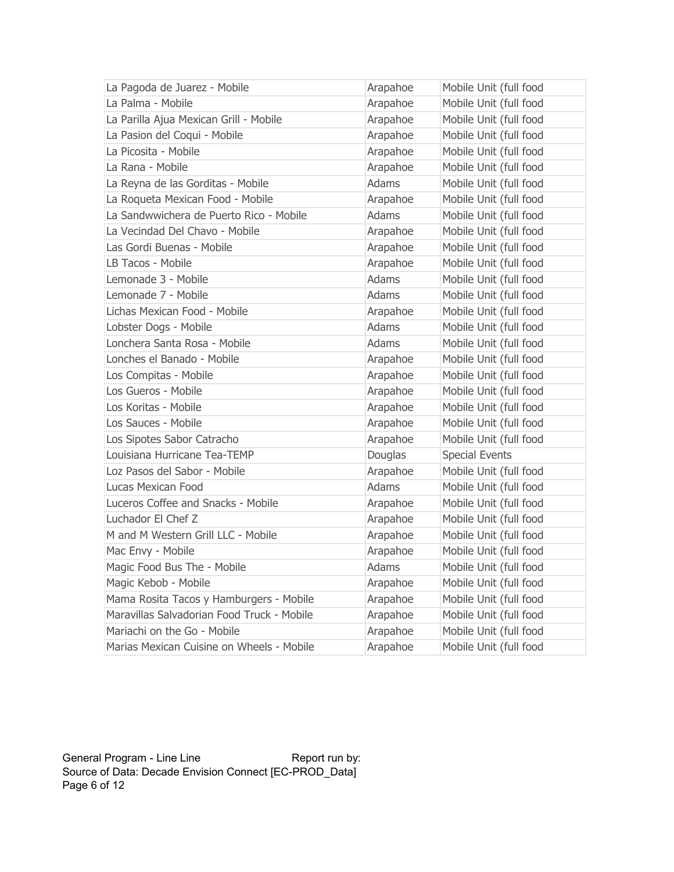| La Pagoda de Juarez - Mobile               | Arapahoe | Mobile Unit (full food |
|--------------------------------------------|----------|------------------------|
| La Palma - Mobile                          | Arapahoe | Mobile Unit (full food |
| La Parilla Ajua Mexican Grill - Mobile     | Arapahoe | Mobile Unit (full food |
| La Pasion del Coqui - Mobile               | Arapahoe | Mobile Unit (full food |
| La Picosita - Mobile                       | Arapahoe | Mobile Unit (full food |
| La Rana - Mobile                           | Arapahoe | Mobile Unit (full food |
| La Reyna de las Gorditas - Mobile          | Adams    | Mobile Unit (full food |
| La Roqueta Mexican Food - Mobile           | Arapahoe | Mobile Unit (full food |
| La Sandwwichera de Puerto Rico - Mobile    | Adams    | Mobile Unit (full food |
| La Vecindad Del Chavo - Mobile             | Arapahoe | Mobile Unit (full food |
| Las Gordi Buenas - Mobile                  | Arapahoe | Mobile Unit (full food |
| LB Tacos - Mobile                          | Arapahoe | Mobile Unit (full food |
| Lemonade 3 - Mobile                        | Adams    | Mobile Unit (full food |
| Lemonade 7 - Mobile                        | Adams    | Mobile Unit (full food |
| Lichas Mexican Food - Mobile               | Arapahoe | Mobile Unit (full food |
| Lobster Dogs - Mobile                      | Adams    | Mobile Unit (full food |
| Lonchera Santa Rosa - Mobile               | Adams    | Mobile Unit (full food |
| Lonches el Banado - Mobile                 | Arapahoe | Mobile Unit (full food |
| Los Compitas - Mobile                      | Arapahoe | Mobile Unit (full food |
| Los Gueros - Mobile                        | Arapahoe | Mobile Unit (full food |
| Los Koritas - Mobile                       | Arapahoe | Mobile Unit (full food |
| Los Sauces - Mobile                        | Arapahoe | Mobile Unit (full food |
| Los Sipotes Sabor Catracho                 | Arapahoe | Mobile Unit (full food |
| Louisiana Hurricane Tea-TEMP               | Douglas  | <b>Special Events</b>  |
| Loz Pasos del Sabor - Mobile               | Arapahoe | Mobile Unit (full food |
| Lucas Mexican Food                         | Adams    | Mobile Unit (full food |
| Luceros Coffee and Snacks - Mobile         | Arapahoe | Mobile Unit (full food |
| Luchador El Chef Z                         | Arapahoe | Mobile Unit (full food |
| M and M Western Grill LLC - Mobile         | Arapahoe | Mobile Unit (full food |
| Mac Envy - Mobile                          | Arapahoe | Mobile Unit (full food |
| Magic Food Bus The - Mobile                | Adams    | Mobile Unit (full food |
| Magic Kebob - Mobile                       | Arapahoe | Mobile Unit (full food |
| Mama Rosita Tacos y Hamburgers - Mobile    | Arapahoe | Mobile Unit (full food |
| Maravillas Salvadorian Food Truck - Mobile | Arapahoe | Mobile Unit (full food |
| Mariachi on the Go - Mobile                | Arapahoe | Mobile Unit (full food |
| Marias Mexican Cuisine on Wheels - Mobile  | Arapahoe | Mobile Unit (full food |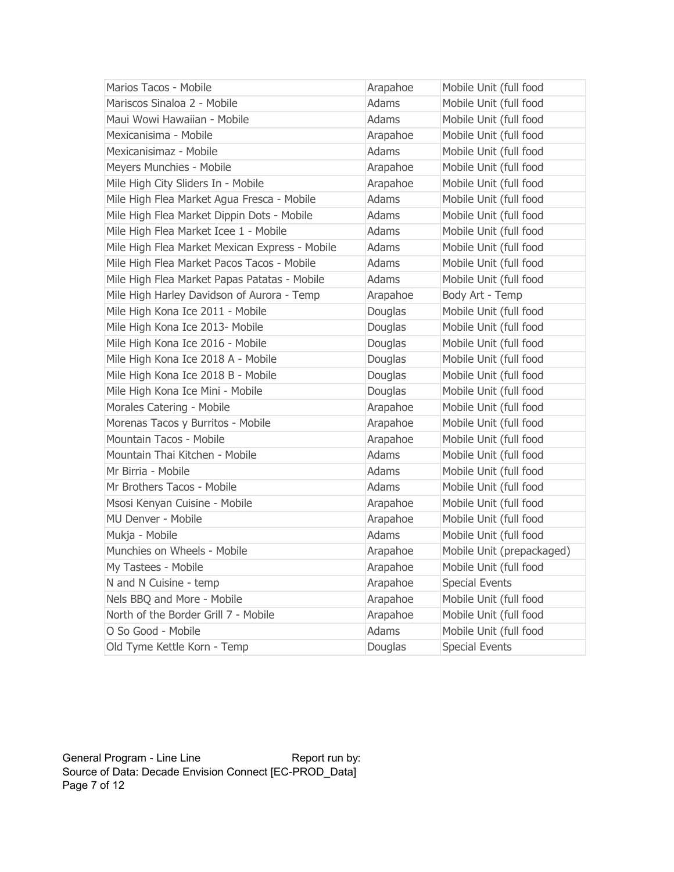| Marios Tacos - Mobile                          | Arapahoe     | Mobile Unit (full food    |
|------------------------------------------------|--------------|---------------------------|
| Mariscos Sinaloa 2 - Mobile                    | Adams        | Mobile Unit (full food    |
| Maui Wowi Hawaiian - Mobile                    | <b>Adams</b> | Mobile Unit (full food    |
| Mexicanisima - Mobile                          | Arapahoe     | Mobile Unit (full food    |
| Mexicanisimaz - Mobile                         | Adams        | Mobile Unit (full food    |
| Meyers Munchies - Mobile                       | Arapahoe     | Mobile Unit (full food    |
| Mile High City Sliders In - Mobile             | Arapahoe     | Mobile Unit (full food    |
| Mile High Flea Market Agua Fresca - Mobile     | <b>Adams</b> | Mobile Unit (full food    |
| Mile High Flea Market Dippin Dots - Mobile     | <b>Adams</b> | Mobile Unit (full food    |
| Mile High Flea Market Icee 1 - Mobile          | Adams        | Mobile Unit (full food    |
| Mile High Flea Market Mexican Express - Mobile | Adams        | Mobile Unit (full food    |
| Mile High Flea Market Pacos Tacos - Mobile     | Adams        | Mobile Unit (full food    |
| Mile High Flea Market Papas Patatas - Mobile   | Adams        | Mobile Unit (full food    |
| Mile High Harley Davidson of Aurora - Temp     | Arapahoe     | Body Art - Temp           |
| Mile High Kona Ice 2011 - Mobile               | Douglas      | Mobile Unit (full food    |
| Mile High Kona Ice 2013- Mobile                | Douglas      | Mobile Unit (full food    |
| Mile High Kona Ice 2016 - Mobile               | Douglas      | Mobile Unit (full food    |
| Mile High Kona Ice 2018 A - Mobile             | Douglas      | Mobile Unit (full food    |
| Mile High Kona Ice 2018 B - Mobile             | Douglas      | Mobile Unit (full food    |
| Mile High Kona Ice Mini - Mobile               | Douglas      | Mobile Unit (full food    |
| Morales Catering - Mobile                      | Arapahoe     | Mobile Unit (full food    |
| Morenas Tacos y Burritos - Mobile              | Arapahoe     | Mobile Unit (full food    |
| Mountain Tacos - Mobile                        | Arapahoe     | Mobile Unit (full food    |
| Mountain Thai Kitchen - Mobile                 | <b>Adams</b> | Mobile Unit (full food    |
| Mr Birria - Mobile                             | Adams        | Mobile Unit (full food    |
| Mr Brothers Tacos - Mobile                     | Adams        | Mobile Unit (full food    |
| Msosi Kenyan Cuisine - Mobile                  | Arapahoe     | Mobile Unit (full food    |
| MU Denver - Mobile                             | Arapahoe     | Mobile Unit (full food    |
| Mukja - Mobile                                 | Adams        | Mobile Unit (full food    |
| Munchies on Wheels - Mobile                    | Arapahoe     | Mobile Unit (prepackaged) |
| My Tastees - Mobile                            | Arapahoe     | Mobile Unit (full food    |
| N and N Cuisine - temp                         | Arapahoe     | <b>Special Events</b>     |
| Nels BBQ and More - Mobile                     | Arapahoe     | Mobile Unit (full food    |
| North of the Border Grill 7 - Mobile           | Arapahoe     | Mobile Unit (full food    |
| O So Good - Mobile                             | <b>Adams</b> | Mobile Unit (full food    |
| Old Tyme Kettle Korn - Temp                    | Douglas      | <b>Special Events</b>     |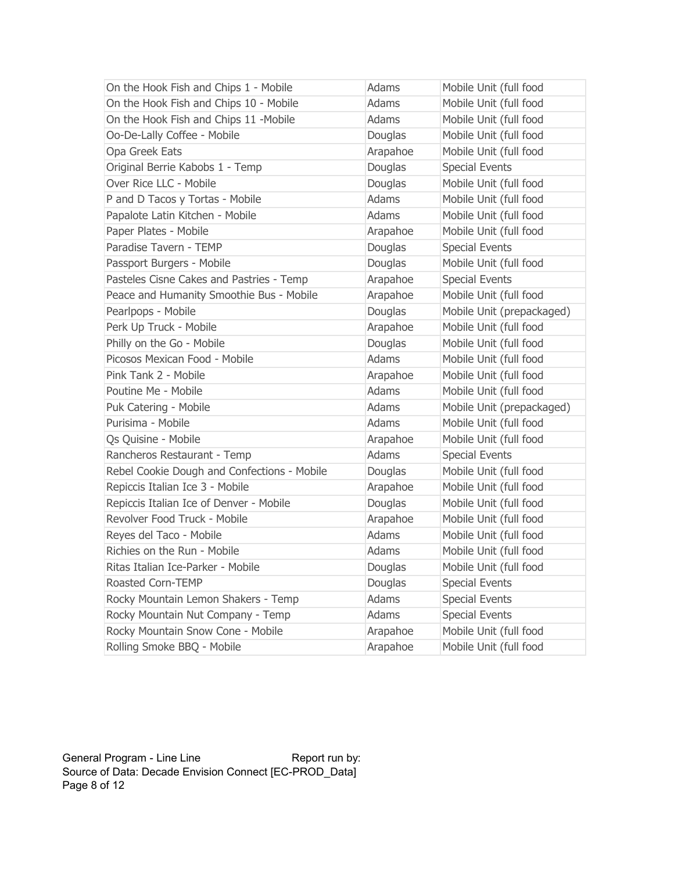| On the Hook Fish and Chips 1 - Mobile       | Adams        | Mobile Unit (full food    |
|---------------------------------------------|--------------|---------------------------|
| On the Hook Fish and Chips 10 - Mobile      | <b>Adams</b> | Mobile Unit (full food    |
| On the Hook Fish and Chips 11 -Mobile       | <b>Adams</b> | Mobile Unit (full food    |
| Oo-De-Lally Coffee - Mobile                 | Douglas      | Mobile Unit (full food    |
| Opa Greek Eats                              | Arapahoe     | Mobile Unit (full food    |
| Original Berrie Kabobs 1 - Temp             | Douglas      | <b>Special Events</b>     |
| Over Rice LLC - Mobile                      | Douglas      | Mobile Unit (full food    |
| P and D Tacos y Tortas - Mobile             | <b>Adams</b> | Mobile Unit (full food    |
| Papalote Latin Kitchen - Mobile             | <b>Adams</b> | Mobile Unit (full food    |
| Paper Plates - Mobile                       | Arapahoe     | Mobile Unit (full food    |
| Paradise Tavern - TEMP                      | Douglas      | <b>Special Events</b>     |
| Passport Burgers - Mobile                   | Douglas      | Mobile Unit (full food    |
| Pasteles Cisne Cakes and Pastries - Temp    | Arapahoe     | <b>Special Events</b>     |
| Peace and Humanity Smoothie Bus - Mobile    | Arapahoe     | Mobile Unit (full food    |
| Pearlpops - Mobile                          | Douglas      | Mobile Unit (prepackaged) |
| Perk Up Truck - Mobile                      | Arapahoe     | Mobile Unit (full food    |
| Philly on the Go - Mobile                   | Douglas      | Mobile Unit (full food    |
| Picosos Mexican Food - Mobile               | Adams        | Mobile Unit (full food    |
| Pink Tank 2 - Mobile                        | Arapahoe     | Mobile Unit (full food    |
| Poutine Me - Mobile                         | Adams        | Mobile Unit (full food    |
| Puk Catering - Mobile                       | Adams        | Mobile Unit (prepackaged) |
| Purisima - Mobile                           | Adams        | Mobile Unit (full food    |
| Qs Quisine - Mobile                         | Arapahoe     | Mobile Unit (full food    |
| Rancheros Restaurant - Temp                 | Adams        | <b>Special Events</b>     |
| Rebel Cookie Dough and Confections - Mobile | Douglas      | Mobile Unit (full food    |
| Repiccis Italian Ice 3 - Mobile             | Arapahoe     | Mobile Unit (full food    |
| Repiccis Italian Ice of Denver - Mobile     | Douglas      | Mobile Unit (full food    |
| Revolver Food Truck - Mobile                | Arapahoe     | Mobile Unit (full food    |
| Reyes del Taco - Mobile                     | <b>Adams</b> | Mobile Unit (full food    |
| Richies on the Run - Mobile                 | <b>Adams</b> | Mobile Unit (full food    |
| Ritas Italian Ice-Parker - Mobile           | Douglas      | Mobile Unit (full food    |
| Roasted Corn-TEMP                           | Douglas      | <b>Special Events</b>     |
| Rocky Mountain Lemon Shakers - Temp         | <b>Adams</b> | <b>Special Events</b>     |
| Rocky Mountain Nut Company - Temp           | Adams        | <b>Special Events</b>     |
| Rocky Mountain Snow Cone - Mobile           | Arapahoe     | Mobile Unit (full food    |
| Rolling Smoke BBQ - Mobile                  | Arapahoe     | Mobile Unit (full food    |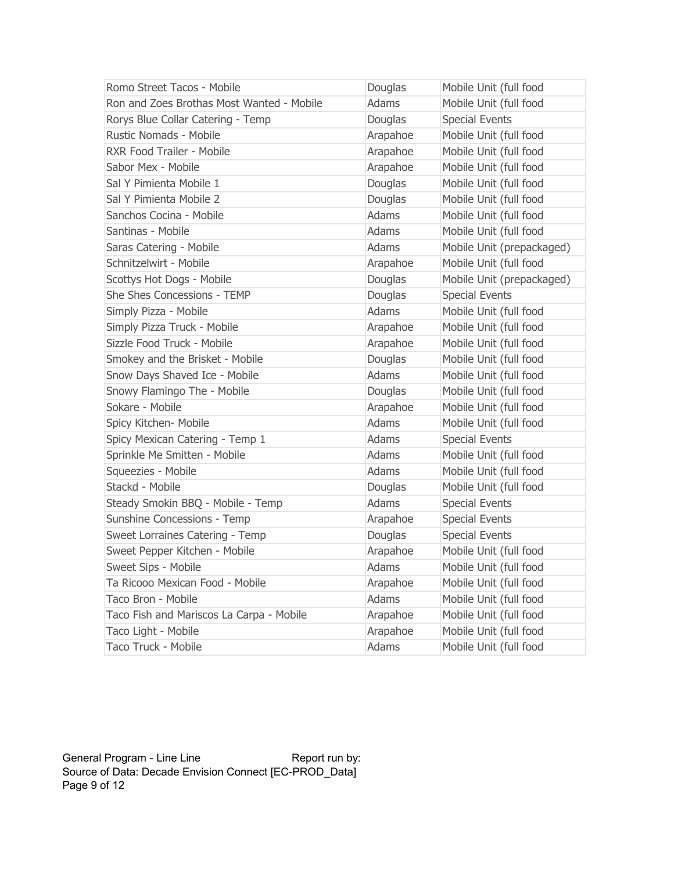| Romo Street Tacos - Mobile                | Douglas      | Mobile Unit (full food    |
|-------------------------------------------|--------------|---------------------------|
| Ron and Zoes Brothas Most Wanted - Mobile | <b>Adams</b> | Mobile Unit (full food    |
| Rorys Blue Collar Catering - Temp         | Douglas      | <b>Special Events</b>     |
| <b>Rustic Nomads - Mobile</b>             | Arapahoe     | Mobile Unit (full food    |
| RXR Food Trailer - Mobile                 | Arapahoe     | Mobile Unit (full food    |
| Sabor Mex - Mobile                        | Arapahoe     | Mobile Unit (full food    |
| Sal Y Pimienta Mobile 1                   | Douglas      | Mobile Unit (full food    |
| Sal Y Pimienta Mobile 2                   | Douglas      | Mobile Unit (full food    |
| Sanchos Cocina - Mobile                   | <b>Adams</b> | Mobile Unit (full food    |
| Santinas - Mobile                         | Adams        | Mobile Unit (full food    |
| Saras Catering - Mobile                   | <b>Adams</b> | Mobile Unit (prepackaged) |
| Schnitzelwirt - Mobile                    | Arapahoe     | Mobile Unit (full food    |
| Scottys Hot Dogs - Mobile                 | Douglas      | Mobile Unit (prepackaged) |
| She Shes Concessions - TEMP               | Douglas      | <b>Special Events</b>     |
| Simply Pizza - Mobile                     | <b>Adams</b> | Mobile Unit (full food    |
| Simply Pizza Truck - Mobile               | Arapahoe     | Mobile Unit (full food    |
| Sizzle Food Truck - Mobile                | Arapahoe     | Mobile Unit (full food    |
| Smokey and the Brisket - Mobile           | Douglas      | Mobile Unit (full food    |
| Snow Days Shaved Ice - Mobile             | Adams        | Mobile Unit (full food    |
| Snowy Flamingo The - Mobile               | Douglas      | Mobile Unit (full food    |
| Sokare - Mobile                           | Arapahoe     | Mobile Unit (full food    |
| Spicy Kitchen- Mobile                     | <b>Adams</b> | Mobile Unit (full food    |
| Spicy Mexican Catering - Temp 1           | Adams        | <b>Special Events</b>     |
| Sprinkle Me Smitten - Mobile              | Adams        | Mobile Unit (full food    |
| Squeezies - Mobile                        | <b>Adams</b> | Mobile Unit (full food    |
| Stackd - Mobile                           | Douglas      | Mobile Unit (full food    |
| Steady Smokin BBQ - Mobile - Temp         | Adams        | <b>Special Events</b>     |
| Sunshine Concessions - Temp               | Arapahoe     | <b>Special Events</b>     |
| Sweet Lorraines Catering - Temp           | Douglas      | <b>Special Events</b>     |
| Sweet Pepper Kitchen - Mobile             | Arapahoe     | Mobile Unit (full food    |
| Sweet Sips - Mobile                       | Adams        | Mobile Unit (full food    |
| Ta Ricooo Mexican Food - Mobile           | Arapahoe     | Mobile Unit (full food    |
| Taco Bron - Mobile                        | Adams        | Mobile Unit (full food    |
| Taco Fish and Mariscos La Carpa - Mobile  | Arapahoe     | Mobile Unit (full food    |
| Taco Light - Mobile                       | Arapahoe     | Mobile Unit (full food    |
| Taco Truck - Mobile                       | Adams        | Mobile Unit (full food    |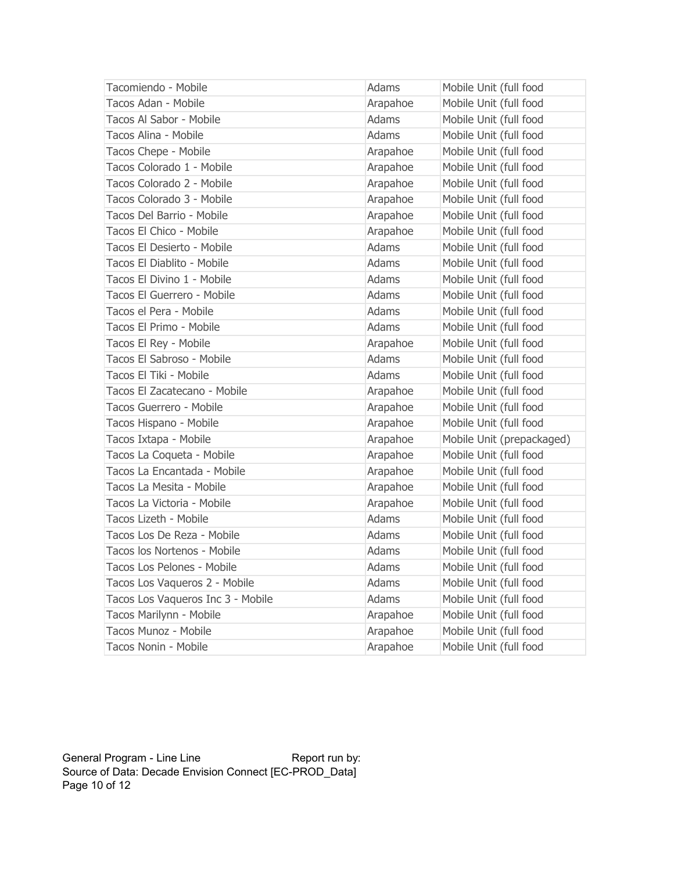| Tacomiendo - Mobile               | Adams        | Mobile Unit (full food    |
|-----------------------------------|--------------|---------------------------|
| Tacos Adan - Mobile               | Arapahoe     | Mobile Unit (full food    |
| Tacos Al Sabor - Mobile           | <b>Adams</b> | Mobile Unit (full food    |
| Tacos Alina - Mobile              | Adams        | Mobile Unit (full food    |
| Tacos Chepe - Mobile              | Arapahoe     | Mobile Unit (full food    |
| Tacos Colorado 1 - Mobile         | Arapahoe     | Mobile Unit (full food    |
| Tacos Colorado 2 - Mobile         | Arapahoe     | Mobile Unit (full food    |
| Tacos Colorado 3 - Mobile         | Arapahoe     | Mobile Unit (full food    |
| Tacos Del Barrio - Mobile         | Arapahoe     | Mobile Unit (full food    |
| Tacos El Chico - Mobile           | Arapahoe     | Mobile Unit (full food    |
| Tacos El Desierto - Mobile        | Adams        | Mobile Unit (full food    |
| Tacos El Diablito - Mobile        | Adams        | Mobile Unit (full food    |
| Tacos El Divino 1 - Mobile        | Adams        | Mobile Unit (full food    |
| Tacos El Guerrero - Mobile        | Adams        | Mobile Unit (full food    |
| Tacos el Pera - Mobile            | <b>Adams</b> | Mobile Unit (full food    |
| Tacos El Primo - Mobile           | Adams        | Mobile Unit (full food    |
| Tacos El Rey - Mobile             | Arapahoe     | Mobile Unit (full food    |
| Tacos El Sabroso - Mobile         | Adams        | Mobile Unit (full food    |
| Tacos El Tiki - Mobile            | Adams        | Mobile Unit (full food    |
| Tacos El Zacatecano - Mobile      | Arapahoe     | Mobile Unit (full food    |
| Tacos Guerrero - Mobile           | Arapahoe     | Mobile Unit (full food    |
| Tacos Hispano - Mobile            | Arapahoe     | Mobile Unit (full food    |
| Tacos Ixtapa - Mobile             | Arapahoe     | Mobile Unit (prepackaged) |
| Tacos La Coqueta - Mobile         | Arapahoe     | Mobile Unit (full food    |
| Tacos La Encantada - Mobile       | Arapahoe     | Mobile Unit (full food    |
| Tacos La Mesita - Mobile          | Arapahoe     | Mobile Unit (full food    |
| Tacos La Victoria - Mobile        | Arapahoe     | Mobile Unit (full food    |
| Tacos Lizeth - Mobile             | Adams        | Mobile Unit (full food    |
| Tacos Los De Reza - Mobile        | <b>Adams</b> | Mobile Unit (full food    |
| Tacos los Nortenos - Mobile       | Adams        | Mobile Unit (full food    |
| Tacos Los Pelones - Mobile        | Adams        | Mobile Unit (full food    |
| Tacos Los Vaqueros 2 - Mobile     | Adams        | Mobile Unit (full food    |
| Tacos Los Vaqueros Inc 3 - Mobile | <b>Adams</b> | Mobile Unit (full food    |
| Tacos Marilynn - Mobile           | Arapahoe     | Mobile Unit (full food    |
| Tacos Munoz - Mobile              | Arapahoe     | Mobile Unit (full food    |
| Tacos Nonin - Mobile              | Arapahoe     | Mobile Unit (full food    |

General Program - Line Line **Report run by:**  Source of Data: Decade Envision Connect [EC-PROD\_Data] Page 10 of 12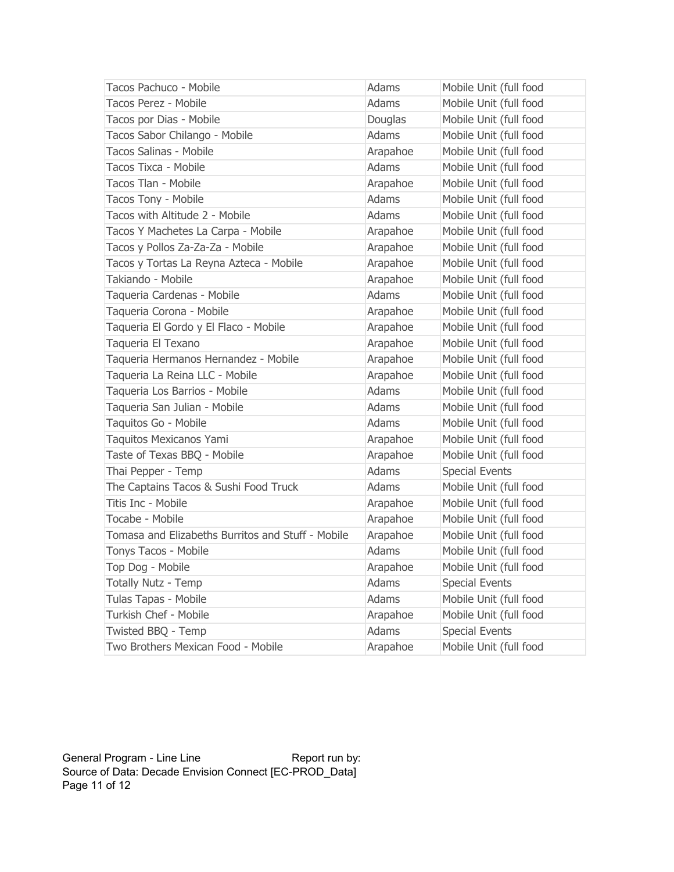| Tacos Pachuco - Mobile                            | Adams        | Mobile Unit (full food |
|---------------------------------------------------|--------------|------------------------|
| Tacos Perez - Mobile                              | <b>Adams</b> | Mobile Unit (full food |
| Tacos por Dias - Mobile                           | Douglas      | Mobile Unit (full food |
| Tacos Sabor Chilango - Mobile                     | Adams        | Mobile Unit (full food |
| Tacos Salinas - Mobile                            | Arapahoe     | Mobile Unit (full food |
| Tacos Tixca - Mobile                              | <b>Adams</b> | Mobile Unit (full food |
| Tacos Tlan - Mobile                               | Arapahoe     | Mobile Unit (full food |
| Tacos Tony - Mobile                               | Adams        | Mobile Unit (full food |
| Tacos with Altitude 2 - Mobile                    | Adams        | Mobile Unit (full food |
| Tacos Y Machetes La Carpa - Mobile                | Arapahoe     | Mobile Unit (full food |
| Tacos y Pollos Za-Za-Za - Mobile                  | Arapahoe     | Mobile Unit (full food |
| Tacos y Tortas La Reyna Azteca - Mobile           | Arapahoe     | Mobile Unit (full food |
| Takiando - Mobile                                 | Arapahoe     | Mobile Unit (full food |
| Taqueria Cardenas - Mobile                        | Adams        | Mobile Unit (full food |
| Taqueria Corona - Mobile                          | Arapahoe     | Mobile Unit (full food |
| Taqueria El Gordo y El Flaco - Mobile             | Arapahoe     | Mobile Unit (full food |
| Taqueria El Texano                                | Arapahoe     | Mobile Unit (full food |
| Taqueria Hermanos Hernandez - Mobile              | Arapahoe     | Mobile Unit (full food |
| Taqueria La Reina LLC - Mobile                    | Arapahoe     | Mobile Unit (full food |
| Taqueria Los Barrios - Mobile                     | <b>Adams</b> | Mobile Unit (full food |
| Taqueria San Julian - Mobile                      | <b>Adams</b> | Mobile Unit (full food |
| Taquitos Go - Mobile                              | <b>Adams</b> | Mobile Unit (full food |
| Taquitos Mexicanos Yami                           | Arapahoe     | Mobile Unit (full food |
| Taste of Texas BBQ - Mobile                       | Arapahoe     | Mobile Unit (full food |
| Thai Pepper - Temp                                | <b>Adams</b> | <b>Special Events</b>  |
| The Captains Tacos & Sushi Food Truck             | Adams        | Mobile Unit (full food |
| Titis Inc - Mobile                                | Arapahoe     | Mobile Unit (full food |
| Tocabe - Mobile                                   | Arapahoe     | Mobile Unit (full food |
| Tomasa and Elizabeths Burritos and Stuff - Mobile | Arapahoe     | Mobile Unit (full food |
| Tonys Tacos - Mobile                              | Adams        | Mobile Unit (full food |
| Top Dog - Mobile                                  | Arapahoe     | Mobile Unit (full food |
| Totally Nutz - Temp                               | Adams        | <b>Special Events</b>  |
| Tulas Tapas - Mobile                              | <b>Adams</b> | Mobile Unit (full food |
| Turkish Chef - Mobile                             | Arapahoe     | Mobile Unit (full food |
| Twisted BBQ - Temp                                | Adams        | <b>Special Events</b>  |
| Two Brothers Mexican Food - Mobile                | Arapahoe     | Mobile Unit (full food |